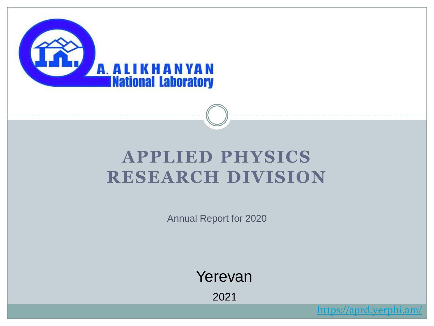

### **APPLIED PHYSICS RESEARCH DIVISION**

Annual Report for 2020

Yerevan

2021

<https://aprd.yerphi.am/>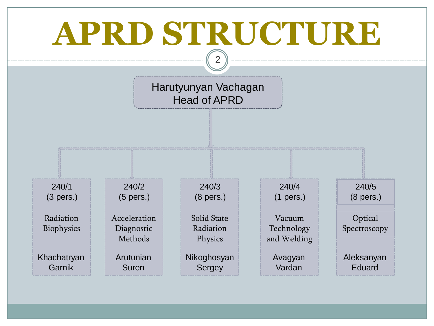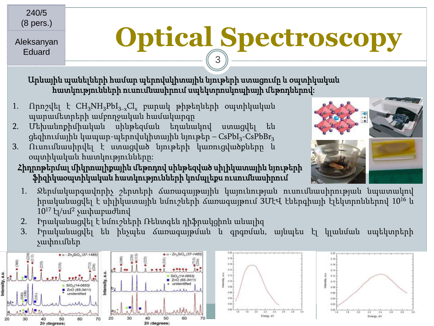240/5 (8 pers.)

Aleksanyan Eduard

# **Optical Spectroscopy**

Արևային պանելների համար պերովսկիտային նյութերի ստացումը և օպտիկական հատկությունների ուսումնասիրում սպեկտրոսկոպիայի մեթոդներով:

- 1. Որոշվել է  $CH_3NH_3PbI_{3-x}Cl_x$  բարակ թիթեղների օպտիկական պարամետրերի ամբողջական համակարգը
- 2. Մեխանոքիմիական սինթեզման եղանակով ստացվել են ցեզիումային կապար-պերովսկիտային նյութեր – CsPbI $_3$ -CsPbB $\rm r_3$
- 3. Ուսումնասիրվել է ստացված նյութերի կառուցվածքները և օպտիկական հատկությունները:
	- Հիդրոթերմալ միկրոալիքային մեթոդով սինթեզված սիլիկատային նյութերի ֆիզիկաօպտիկական հատկությունների կոմպլեքս ուսումնասիրում
	- 1. Ջերմակարգավորիչ շերտերի ճառագայթային կայունության ուսումնասիրության նպատակով իրականացվել է սիլիկատային նմուշների ճառագայթում 3ՄէՎ էներգիայի էլեկտրոններով 10<sup>16</sup> և 10<sup>17</sup> էլ/սմ<sup>2</sup> չափաբաժնով

3

- 2. Իրականացվել է նմուշների Ռենտգեն դիֆրակցիոն անալիզ
- 3. Իրականացվել են ինչպես ճառագայթման և գրգռման, այնպես էլ կլանման սպեկտրերի չափումներ

![](_page_2_Figure_11.jpeg)

![](_page_2_Figure_12.jpeg)

![](_page_2_Figure_13.jpeg)

![](_page_2_Picture_14.jpeg)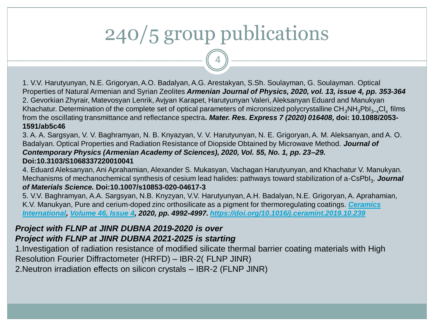# 240/5 group publications

4

1. V.V. Harutyunyan, N.E. Grigoryan, A.O. Badalyan, A.G. Arestakyan, S.Sh. Soulayman, G. Soulayman. Optical Properties of Natural Armenian and Syrian Zeolites *Armenian Journal of Physics, 2020, vol. 13, issue 4, pp. 353-364* 2. Gevorkian Zhyrair, Matevosyan Lenrik, Avjyan Karapet, Harutyunyan Valeri, Aleksanyan Eduard and Manukyan Khachatur. Determination of the complete set of optical parameters of micronsized polycrystalline CH<sub>3</sub>NH<sub>3</sub>PbI<sub>3−x</sub>Cl<sub>x</sub> films from the oscillating transmittance and reflectance spectra*. Mater. Res. Express 7 (2020) 016408,* **doi: 10.1088/2053- 1591/ab5c46**

3. A. A. Sargsyan, V. V. Baghramyan, N. B. Knyazyan, V. V. Harutyunyan, N. E. Grigoryan, A. M. Aleksanyan, and A. O. Badalyan. Optical Properties and Radiation Resistance of Diopside Obtained by Microwave Method. *Journal of Contemporary Physics (Armenian Academy of Sciences), 2020, Vol. 55, No. 1, pp. 23–29.*  **Doi:10.3103/S1068337220010041**

4. Eduard Aleksanyan, Ani Aprahamian, Alexander S. Mukasyan, Vachagan Harutyunyan, and Khachatur V. Manukyan. Mechanisms of mechanochemical synthesis of cesium lead halides: pathways toward stabilization of a-CsPbI<sub>3</sub>. *Journal of Materials Science.* **Doi:10.1007/s10853-020-04617-3**

5. V.V. Baghramyan, A.A. Sargsyan, N.B. Knyzyan, V.V. Harutyunyan, A.H. Badalyan, N.E. Grigoryan, A. Aprahamian, [K.V. Manukyan, Pure and cerium-doped zinc orthosilicate as a pigment for thermoregulating coatings.](https://www.sciencedirect.com/science/journal/02728842) *Ceramics International, [Volume 46, Issue 4,](https://www.sciencedirect.com/science/journal/02728842/46/4) 2020, pp. 4992-4997. <https://doi.org/10.1016/j.ceramint.2019.10.239>*

### *Project with FLNP at JINR DUBNA 2019-2020 is over*

#### *Project with FLNP at JINR DUBNA 2021-2025 is starting*

1.Investigation of radiation resistance of modified silicate thermal barrier coating materials with High Resolution Fourier Diffractometer (HRFD) – IBR-2( FLNP JINR) 2.Neutron irradiation effects on silicon crystals – IBR-2 (FLNP JINR)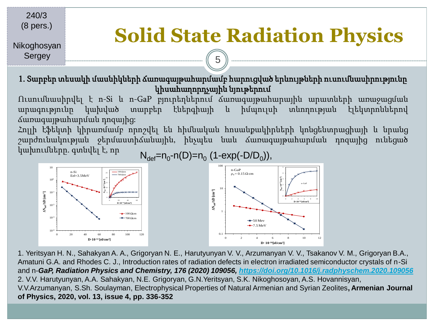240/3 (8 pers.)

### **Solid State Radiation Physics**

Nikoghosyan Sergey

> 1. Տարբեր տեսակի մասնիկների ճառագայթահարմամբ հարուցված երևույթների ուսումնասիրությունը կիսահաղորդչային նյութերում

5

Ուսումնասիրվել է n-Si և n-GaP բյուրեղներում ճառագայթահարային արատների առաջացման արագությունը կախված տարբեր էներգիայի և իմպուլսի տևողության էլեկտրոններով ճառագայթահարման դոզայից:

Հոլլի էֆեկտի կիրառմամբ որոշվել են հիմնական հոսանքակիրների կոնցենտրացիայի և նրանց շարժունակության ջերմաստիճանային, ինչպես նաև ճառագայթահարման դոզայից ունեցած կախումները. գտնվել է, որ  $N_{\text{def}} = n_0 \cdot n(D) = n_0 (1 - \exp(-D/D_0)),$ 

![](_page_4_Figure_6.jpeg)

1. Yeritsyan H. N., Sahakyan A. A., Grigoryan N. E., Harutyunyan V. V., Arzumanyan V. V., Tsakanov V. M., Grigoryan B.A., Amatuni G.A. and Rhodes C. J., Introduction rates of radiation defects in electron irradiated semiconductor crystals of n-Si and n-*GaP, Radiation Physics and Chemistry, 176 (2020) 109056, <https://doi.org/10.1016/j.radphyschem.2020.109056>* 2. V.V. Harutyunyan, A.A. Sahakyan, N.E. Grigoryan, G.N.Yeritsyan, S.K. Nikoghosoyan, A.S. Hovannisyan, V.V.Arzumanyan, S.Sh. Soulayman, Electrophysical Properties of Natural Armenian and Syrian Zeolites**, Armenian Journal of Physics, 2020, vol. 13, issue 4, pp. 336-352**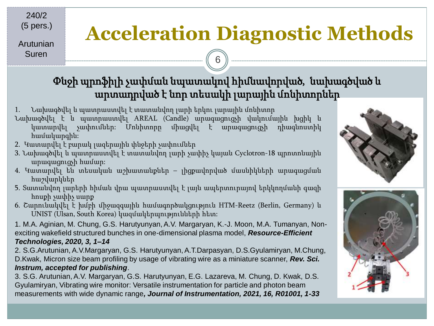240/2 (5 pers.)

Arutunian Suren

### **Acceleration Diagnostic Methods**

### Փնջի պրոֆիլի չափման նպատակով հիմնավորված, նախագծված և արտադրված է նոր տեսակի լարային մոնիտորներ

6

- 1. Նախագծվել և պատրաստվել է տատանվող լարի երկու լարային մոնիտոր
- Նախագծվել է և պատրաստվել AREAL (Candle) արագացուցչի վակումային խցիկ և կատարվել չափումներ: Մոնիտորը միացվել է արագացուցչի դիագնոստիկ համակարգին:
- 2. Կատարվել է բարակ լազերային փնջերի չափումներ
- 3. Նախագծվել և պատրաստվել է տատանվող լարի չափիչ կայան Cyclotron-18 պրոտոնային արագացուցչի համար:
- 4. Կատարվել են տեսական աշխատանքներ լիցքավորված մասնիկների արագացման հաշվարկներ
- 5. Տատանվող լարերի հիման վրա պատրաստվել է լայն ապերտուրայով երկկողմանի գազի հոսքի չափիչ սարք
- 6. Շարունակվել է խմբի միջազգային համագործակցություն HTM-Reetz (Berlin, Germany) և UNIST (Ulsan, South Korea) կազմակերպությունների հետ:

1. M.A. Aginian, M. Chung, G.S. Harutyunyan, A.V. Margaryan, K.-J. Moon, M.A. Tumanyan, Nonexciting wakefield structured bunches in one-dimensional plasma model, *Resource-Efficient Technologies, 2020, 3, 1–14*

2. S.G.Arutunian, A.V.Margaryan, G.S. Harutyunyan, A.T.Darpasyan, D.S.Gyulamiryan, M.Chung, D.Kwak, Micron size beam profiling by usage of vibrating wire as a miniature scanner, *Rev. Sci. Instrum, accepted for publishing*.

3. S.G. Arutunian, A.V. Margaryan, G.S. Harutyunyan, E.G. Lazareva, M. Chung, D. Kwak, D.S. Gyulamiryan, Vibrating wire monitor: Versatile instrumentation for particle and photon beam measurements with wide dynamic range*, Journal of Instrumentation, 2021, 16, R01001, 1-33*

![](_page_5_Picture_14.jpeg)

![](_page_5_Picture_15.jpeg)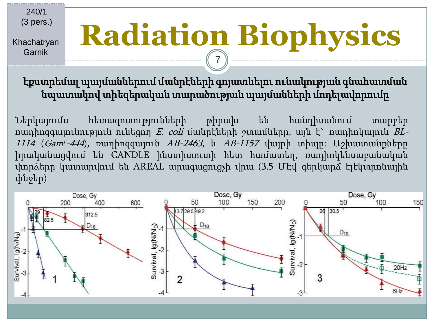240/1 (3 pers.)

Khachatryan Garnik

# **Radiation Biophysics** 7

էքստրեմալ պայմաններում մանրէների գոյատևելու ունակության գնահատման նպատակով տիեզերական տարածության պայմանների մոդելավորումը

Ներկայումս հետազոտությունների թիրախ են հանդիսանում տարբեր ռադիոզգայունություն ունեցող E. coli մանրէների շտամները, այն է` ռադիոկայուն BL-*1114 (Gam<sup>r</sup>-444*), ռադիոզգայուն *AB-2463*, և *AB-1157* վայրի տիպը։ Աշխատանքները իրականացվում են CANDLE ինստիտուտի հետ համատեղ, ռադիոկենսաբանական փորձերը կատարվում են AREAL արագացուցչի վրա (3.5 ՄԷվ գերկարճ էլէկտրոնային փնջեր)

![](_page_6_Figure_5.jpeg)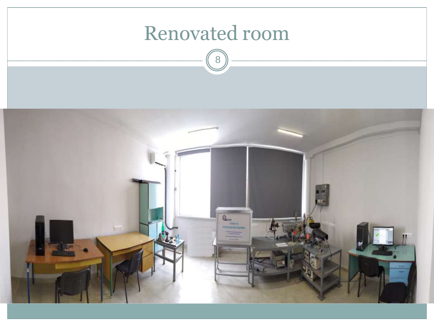![](_page_7_Picture_0.jpeg)